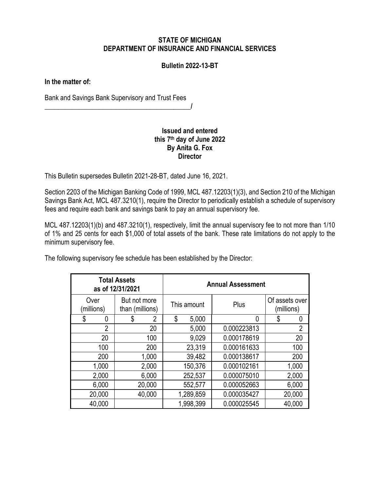## **STATE OF MICHIGAN DEPARTMENT OF INSURANCE AND FINANCIAL SERVICES**

## **Bulletin 2022-13-BT**

**In the matter of:**

Bank and Savings Bank Supervisory and Trust Fees

## **Issued and entered this 7th day of June 2022 By Anita G. Fox Director**

This Bulletin supersedes Bulletin 2021-28-BT, dated June 16, 2021.

**\_\_\_\_\_\_\_\_\_\_\_\_\_\_\_\_\_\_\_\_\_\_\_\_\_\_\_\_\_\_\_\_\_\_\_\_\_\_\_\_\_\_\_/**

Section 2203 of the Michigan Banking Code of 1999, MCL 487.12203(1)(3), and Section 210 of the Michigan Savings Bank Act, MCL 487.3210(1), require the Director to periodically establish a schedule of supervisory fees and require each bank and savings bank to pay an annual supervisory fee.

MCL 487.12203(1)(b) and 487.3210(1), respectively, limit the annual supervisory fee to not more than 1/10 of 1% and 25 cents for each \$1,000 of total assets of the bank. These rate limitations do not apply to the minimum supervisory fee.

|                    | <b>Total Assets</b><br>as of 12/31/2021 | <b>Annual Assessment</b> |             |                              |  |  |
|--------------------|-----------------------------------------|--------------------------|-------------|------------------------------|--|--|
| Over<br>(millions) | But not more<br>than (millions)         | This amount              | Plus        | Of assets over<br>(millions) |  |  |
| \$<br>0            | $\overline{2}$<br>\$                    | \$<br>5,000              | 0           | \$<br>0                      |  |  |
| $\overline{2}$     | 20                                      | 5,000                    | 0.000223813 | $\overline{2}$               |  |  |
| 20                 | 100                                     | 9,029                    | 0.000178619 | 20                           |  |  |
| 100                | 200                                     | 23,319                   | 0.000161633 | 100                          |  |  |
| 200                | 1,000                                   | 39,482                   | 0.000138617 | 200                          |  |  |
| 1,000              | 2,000                                   | 150,376                  | 0.000102161 | 1,000                        |  |  |
| 2,000              | 6,000                                   | 252,537                  | 0.000075010 | 2,000                        |  |  |
| 6,000              | 20,000                                  | 552,577                  | 0.000052663 | 6,000                        |  |  |
| 20,000             | 40,000                                  | 1,289,859                | 0.000035427 | 20,000                       |  |  |
| 40,000             |                                         | 1,998,399                | 0.000025545 | 40,000                       |  |  |